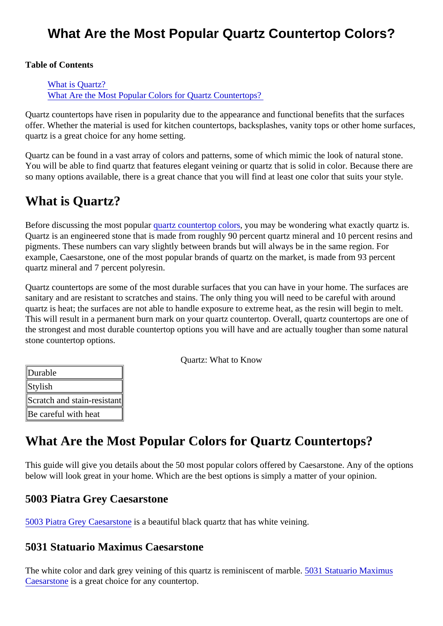# What Are the Most Popular Quartz Countertop Colors?

Table of Contents

What is Quartz? What Are the Most Popular Colors for Quartz Countertops?

Quartz countertops have risen in popularity due to the appearance and functional benefits that the surface offer. Whether the material is used for kitchen countertops, backsplashes, vanity tops or other home surface quartz is a great choice for any home setting.

Quartz can be found in a vast array of colors and patterns, some of which mimic the look of natural stone. You will be able to find quartz that features elegant veining or quartz that is solid in color. Because there a so many options available, there is a great chance that you will find at least one color that suits your style.

# What is Quartz?

Before discussing the most popular artz countertop colors ou may be wondering what exactly quartz is. Quartz is an engineered stone that is made from roughly 90 percent quartz mineral and 10 percent resins pigments. These numbers can vary slightly between brands but will always be in the same region. For example, Caesarstone, one of the most popular brands of quartz on the market, is made from 93 percent quartz mineral and 7 percent polyresin.

Quartz countertops are some of the most durable surfaces that you can have in your home. The surfaces sanitary and are resistant to scratches and stains. The only thing you will need to be careful with around quartz is heat; the surfaces are not able to handle exposure to extreme heat, as the resin will begin to mel This will result in a permanent burn mark on your quartz countertop. Overall, quartz countertops are one of the strongest and most durable countertop options you will have and are actually tougher than some natur stone countertop options.

Quartz: What to Know

| Durable                     |  |
|-----------------------------|--|
| <b>Stylish</b>              |  |
| Scratch and stain-resistant |  |
| Be careful with heat        |  |

# What Are the Most Popular Colors for Quartz Countertops?

This guide will give you details about the 50 most popular colors offered by Caesarstone. Any of the option below will look great in your home. Which are the best options is simply a matter of your opinion.

# 5003 Piatra Grey Caesarstone

[5003 Piatra Grey Caesarsto](https://marble.com/quartz-countertops/5003-piatra-grey-caesarstone/867)nebeautiful black quartz that has white veining.

# 5031 Statuario Maximus Caesarstone

The white color and dark grey veining of this quartz is reminiscent of marble. Statuario Maximus [Caesarston](https://marble.com/quartz-countertops/5031-statuario-maximus-caesarstone/1296)is a great choice for any countertop.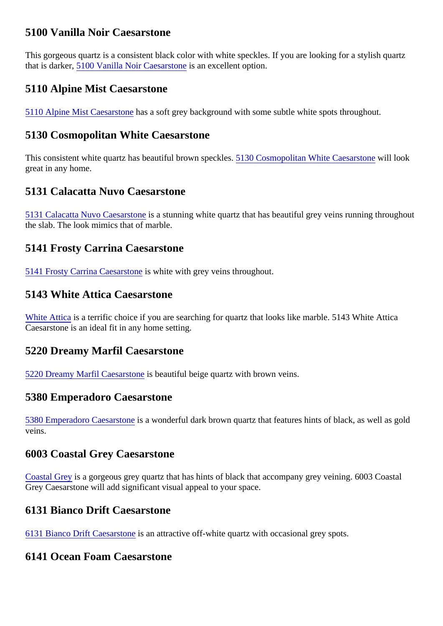# 5100 Vanilla Noir Caesarstone

This gorgeous quartz is a consistent black color with white speckles. If you are looking for a stylish quartz thatis darker5100 Vanilla Noir Caesarstone an excellent option.

# 5110 Alpine Mist Caesarstone

[5110 Alpine Mist Caesarsto](https://marble.com/quartz-countertops/5110-alpine-mist-caesarstone/839)mesa soft grey background with some subtle white spots throughout.

#### 5130 Cosmopolitan White Caesarstone

Thisconsistent white quartz has beautiful brown speckles. Cosmopolitan White Caesarstonia look great in any home.

## 5131 Calacatta Nuvo Caesarstone

[5131 Calacatta Nuvo Caesarst](https://marble.com/quartz-countertops/5131-calacatta-nuvo-caesarstone/834)os a stunning white quartz that has beautiful grey veins running throughout the slab. The look mimics that of marble.

## 5141 Frosty Carrina Caesarstone

[5141 Frosty Carrina Caesarsto](https://marble.com/quartz-countertops/5141-frosty-carrina-casarstone/847)sewhitewith grey veins throughout.

## 5143 White Attica Caesarstone

[White Attica](https://marble.com/quartz-countertops/5143-white-attica-caesarstone/1302) is a terrific choice if you are searching for quartz that looks like marble. 5143 White Attica Caesarstone is an ideal fit in any home setting.

#### 5220 Dreamy Marfil Caesarstone

[5220 Dreamy Marfil Caesarsto](https://marble.com/quartz-countertops/5220-dreamy-marfil-caesarstone/855)rsebeautiful beige quartz with brown veins.

#### 5380 Emperadoro Caesarstone

[5380 Emperadoro Caesarst](https://marble.com/quartz-countertops/5380-emperadoro-caesarstone/861)one wonderful dark brown quartz that features hints of black, as well as gold veins.

#### 6003 Coastal Grey Caesarstone

[Coastal Gre](https://marble.com/quartz-countertops/6003-coastal-grey-caesarstone/841)ys a gorgeous grey quartz that has hints of black that accompany grey veining. 6003 Coastal Grey Caesarstone will add significant visual appeal to your space.

#### 6131 Bianco Drift Caesarstone

[6131 Bianco Drift Caesarsto](https://marble.com/quartz-countertops/6131-bianco-drift-caesarstone/836)ne an attractive off-white quartz with occasional grey spots.

#### 6141 Ocean Foam Caesarstone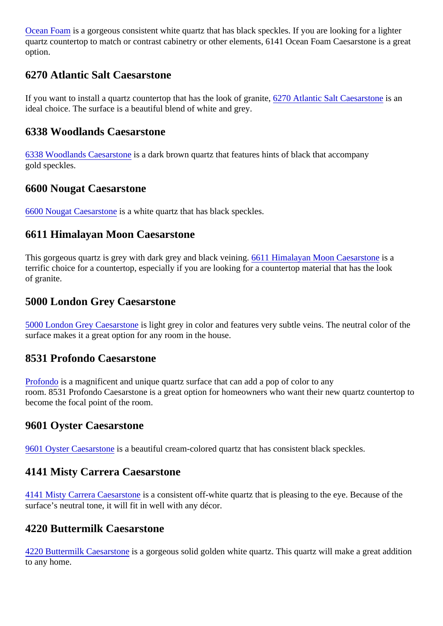Ocean Foanis a gorgeous consistent white quartz that has black speckles. If you are looking for a lighter quartz countertop to match or contrast cabinetry or other elements, 6141 Ocean Foam Caesarstone is a g option.

# 6270 Atlantic Salt Caesarstone

If you want to install a quartz countertop that has the look of granite, Atlantic Salt Caesarstone an ideal choice. The surface is a beautiful blend of white and grey.

#### 6338 Woodlands Caesarstone

[6338 Woodlands Caesarsto](https://marble.com/quartz-countertops/6338-woodlands-caesarstone/837)nedark brown quartz that features hints of black that accompany gold speckles.

# 6600 Nougat Caesarstone

[6600 Nougat Caesarsto](https://marble.com/quartz-countertops/6600-nougat-caesarstone/848)ise is white quartz that has black speckles.

## 6611 Himalayan Moon Caesarstone

This gorgeous quartz is grey with dark grey and black veiningth Himalayan Moon Caesarstone terrific choice for a countertop, especially if you are looking for a countertop material that has the look of granite.

#### 5000 London Grey Caesarstone

[5000 London Grey Caesarsto](https://marble.com/quartz-countertops/5000-london-grey-caesarstone/872)n bight grey in color and features very subtle veins. The neutral color of the surface makes it a great option for any room in the house.

# 8531 Profondo Caesarstone

[Profondo](https://marble.com/quartz-countertops/8531-profondo-caesarstone/881) is a magnificent and unique quartz surface that can add a pop of color to any room. 8531 Profondo Caesarstone is a great option for homeowners who want their new quartz countertop become the focal point of the room.

#### 9601 Oyster Caesarstone

[9601 Oyster Caesarsto](https://marble.com/quartz-countertops/9601-oyster-caesarstone/849)isea beautiful cream-colored quartz that has consistent black speckles.

#### 4141 Misty Carrera Caesarstone

[4141 Misty Carrera Caesarsto](https://marble.com/quartz-countertops/4141-misty-carrera-caesarstone/868)nseconsistent off-white quartz that is pleasing to the eye. Because of the surface's neutral tone, it will fit in well with any décor.

# 4220 Buttermilk Caesarstone

[4220 Buttermilk Caesarsto](https://marble.com/quartz-countertops/4220-buttermilk-caesarstone/852)ne a gorgeous solid golden white quartz. This quartz will make a great addition to any home.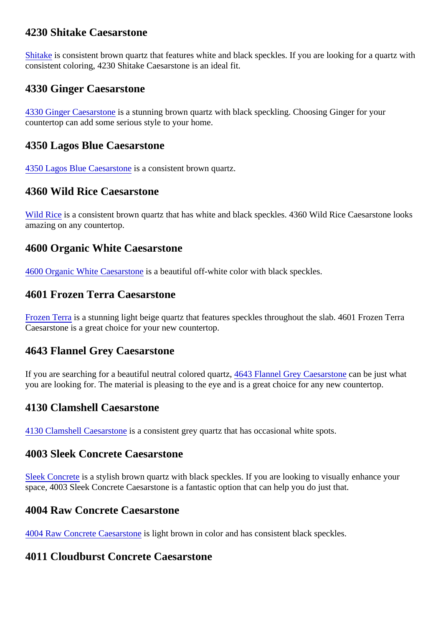# 4230 Shitake Caesarstone

[Shitake](https://marble.com/quartz-countertops/4230-shitake-ceasarstone/853) is consistent brown quartz that features white and black speckles. If you are looking for a quartz with consistent coloring, 4230 Shitake Caesarstone is an ideal fit.

# 4330 Ginger Caesarstone

[4330 Ginger Caesarsto](https://marble.com/quartz-countertops/4330-ginger-caesarstone/862)ne is stunning brown quartz with black speckling. Choosing Ginger for your countertop can add some serious style to your home.

#### 4350 Lagos Blue Caesarstone

[4350 Lagos Blue Caesarsto](https://marble.com/quartz-countertops/4350-lagos-blue-caesarstone/858)neconsistent brown quartz.

## 4360 Wild Rice Caesarstone

[Wild Rice](https://marble.com/quartz-countertops/4360-wild-rice-caesarstone/860) is a consistent brown quartz that has white and black speckles. 4360 Wild Rice Caesarstone look amazing on any countertop.

## 4600 Organic White Caesarstone

[4600 Organic White Caesarsto](https://marble.com/quartz-countertops/4600-organic-white-casarstone/845)nsebeautiful off-white color with black speckles.

## 4601 Frozen Terra Caesarstone

[Frozen Terr](https://marble.com/quartz-countertops/4601-frozen-terra-caesarstone/1294)as a stunning light beige quartz that features speckles throughout the slab. 4601 Frozen Terra Caesarstone is a great choice for your new countertop.

# 4643 Flannel Grey Caesarstone

Ifyou are searching for a beautiful neutral colored qua $\frac{d}{dx}$  Flannel Grey Caesarstoran be just what you are looking for. The material is pleasing to the eye and is a great choice for any new countertop.

# 4130 Clamshell Caesarstone

[4130 Clamshell Caesarsto](https://marble.com/quartz-countertops/4130-clamshell-caesarstone/840)rseconsistent grey quartz that has occasional white spots.

#### 4003 Sleek Concrete Caesarstone

[Sleek Concret](https://marble.com/quartz-countertops/4003-sleek-concrete-caesarstone/832)es a stylish brown quartz with black speckles. If you are looking to visually enhance your space, 4003 Sleek Concrete Caesarstone is a fantastic option that can help you do just that.

#### 4004 Raw Concrete Caesarstone

[4004 Raw Concrete Caesarst](https://marble.com/quartz-countertops/4004-raw-concrete-caesarstone/833)on bight brown in color and has consistent black speckles.

#### 4011 Cloudburst Concrete Caesarstone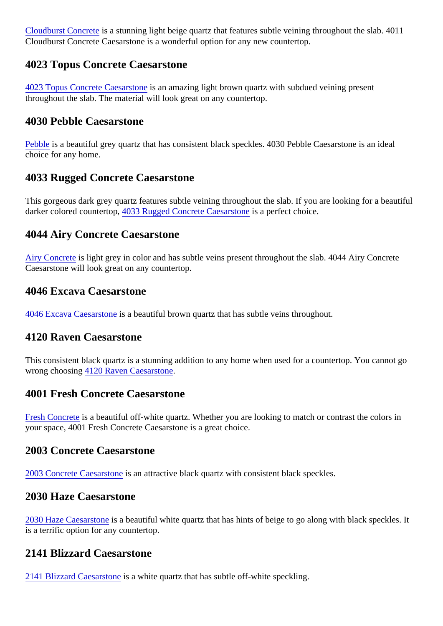[Cloudburst Concre](https://marble.com/quartz-countertops/4011-cloudburst-concrete-caesarstone/1289)tisa stunning light beige quartz that features subtle veining throughout the slab. 4011 Cloudburst Concrete Caesarstone is a wonderful option for any new countertop.

#### 4023 Topus Concrete Caesarstone

[4023 Topus Concrete Caesarst](https://marble.com/quartz-countertops/4023-topus-concrete-caesarstone/1290)isen amazing light brown quartz with subdued veining present throughout the slab. The material will look great on any countertop.

## 4030 Pebble Caesarstone

[Pebble](https://marble.com/quartz-countertops/4030-pebble-caesarstone/865) is a beautiful grey quartz that has consistent black speckles. 4030 Pebble Caesarstone is an ideal choice for any home.

# 4033 Rugged Concrete Caesarstone

This gorgeous dark grey quartz features subtle veining throughout the slab. If you are looking for a beautif darkercolored counterton 033 Rugged Concrete Caesarstisme perfect choice.

#### 4044 Airy Concrete Caesarstone

[Airy Concrete](https://marble.com/quartz-countertops/4023-airy-concrete-caesarstone/1292)is light grey in color and has subtle veins present throughout the slab. 4044 Airy Concrete Caesarstone will look great on any countertop.

#### 4046 Excava Caesarstone

[4046 Excava Caesarsto](https://marble.com/quartz-countertops/4046-excava-caesarstone/1293)ise beautiful brown quartz that has subtle veins throughout.

#### 4120 Raven Caesarstone

This consistent black quartz is a stunning addition to any home when used for a countertop. You cannot got wrong choosing 120 Raven Caesarstone

#### 4001 Fresh Concrete Caesarstone

[Fresh Concret](https://marble.com/quartz-countertops/4001-fresh-concrete-caesarstone/831)es a beautiful off-white quartz. Whether you are looking to match or contrast the colors in your space, 4001 Fresh Concrete Caesarstone is a great choice.

#### 2003 Concrete Caesarstone

[2003 Concrete Caesarsto](https://marble.com/quartz-countertops/2003-concrete-caesarstone/864)ne attractive black quartz with consistent black speckles.

#### 2030 Haze Caesarstone

[2030 Haze Caesarsto](https://marble.com/quartz-countertops/2030-haze-caesarstone/869)nebeautiful white quartz that has hints of beige to go along with black speckles. It is a terrific option for any countertop.

#### 2141 Blizzard Caesarstone

[2141 Blizzard Caesarsto](https://marble.com/quartz-countertops/2141-blizzard-caesarstone/843)risea white quartz that has subtle off-white speckling.